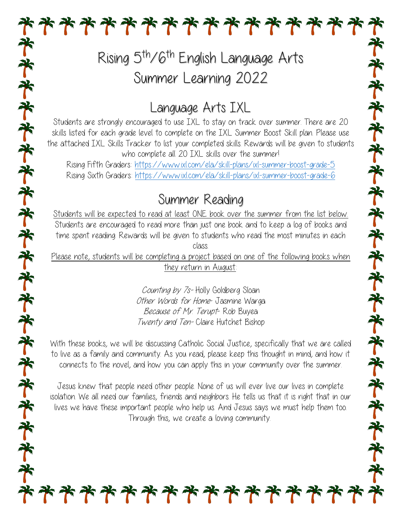# Rising 5<sup>th</sup>/6<sup>th</sup> English Language Arts Summer Learning 2022

**\*\*\*\*\*\*\*\*\*\*\*\*\*\***\*

### Language Arts IXL

Students are strongly encouraged to use IXL to stay on track over summer. There are 20 skills listed for each grade level to complete on the IXL Summer Boost Skill plan. Please use the attached IXL Skills Tracker to list your completed skills. Rewards will be given to students who complete all 20 IXL skills over the summer!

Rising Fifth Graders:<https://www.ixl.com/ela/skill-plans/ixl-summer-boost-grade-5> Rising Sixth Graders: <https://www.ixl.com/ela/skill-plans/ixl-summer-boost-grade-6>

#### Summer Reading

Students will be expected to read at least ONE book over the summer from the list below. Students are encouraged to read more than just one book and to keep a log of books and time spent reading. Rewards will be given to students who read the most minutes in each class.

Please note, students will be completing a project based on one of the following books when they return in August:

齐齐齐齐齐齐齐齐齐齐齐齐齐齐齐齐齐齐齐齐

Counting by 7s- Holly Goldberg Sloan Other Words for Home-Jasmine Warga Because of Mr. Terupt- Rob Buyea Twenty and Ten- Claire Hutchet Bishop

With these books, we will be discussing Catholic Social Justice, specifically that we are called to live as a family and community. As you read, please keep this thought in mind, and how it connects to the novel, and how you can apply this in your community over the summer.

Jesus knew that people need other people. None of us will ever live our lives in complete isolation. We all need our families, friends and neighbors. He tells us that it is right that in our lives we have these important people who help us. And Jesus says we must help them too. Through this, we create a loving community.

\*\*\*\*\*\*\*\*\*\*\*\*\*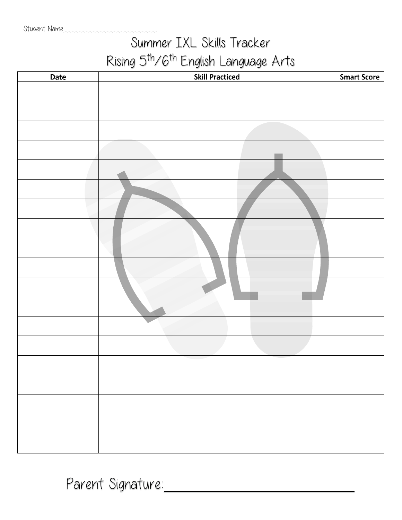## Summer IXL Skills Tracker Rising 5th/6th English Language Arts

| <b>Date</b> | $\sim$<br><b>Skill Practiced</b> | <b>Smart Score</b> |
|-------------|----------------------------------|--------------------|
|             |                                  |                    |
|             |                                  |                    |
|             |                                  |                    |
|             |                                  |                    |
|             |                                  |                    |
|             |                                  |                    |
|             |                                  |                    |
|             |                                  |                    |
|             |                                  |                    |
|             |                                  |                    |
|             |                                  |                    |
|             |                                  |                    |
|             |                                  |                    |
|             |                                  |                    |
|             |                                  |                    |
|             |                                  |                    |
|             |                                  |                    |
|             |                                  |                    |
|             |                                  |                    |
|             |                                  |                    |
|             |                                  |                    |

Parent Signature: 2008